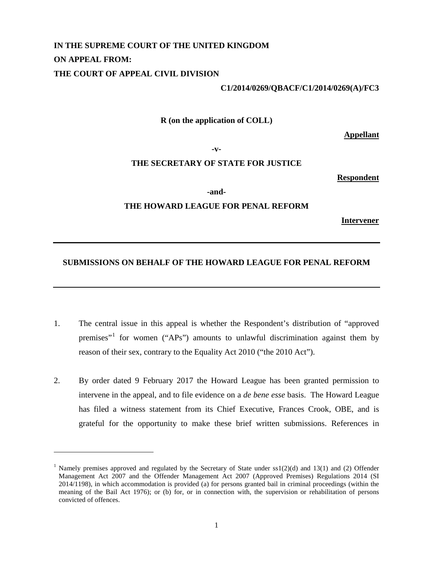# **IN THE SUPREME COURT OF THE UNITED KINGDOM ON APPEAL FROM: THE COURT OF APPEAL CIVIL DIVISION**

#### **C1/2014/0269/QBACF/C1/2014/0269(A)/FC3**

**R (on the application of COLL)**

**Appellant**

**-v-**

### **THE SECRETARY OF STATE FOR JUSTICE**

**Respondent**

**-and-**

### **THE HOWARD LEAGUE FOR PENAL REFORM**

**Intervener**

### **SUBMISSIONS ON BEHALF OF THE HOWARD LEAGUE FOR PENAL REFORM**

- 1. The central issue in this appeal is whether the Respondent's distribution of "approved premises"[1](#page-0-0) for women ("APs") amounts to unlawful discrimination against them by reason of their sex, contrary to the Equality Act 2010 ("the 2010 Act").
- 2. By order dated 9 February 2017 the Howard League has been granted permission to intervene in the appeal, and to file evidence on a *de bene esse* basis. The Howard League has filed a witness statement from its Chief Executive, Frances Crook, OBE, and is grateful for the opportunity to make these brief written submissions. References in

 $\overline{a}$ 

<span id="page-0-0"></span><sup>&</sup>lt;sup>1</sup> Namely premises approved and regulated by the Secretary of State under  $ss1(2)(d)$  and 13(1) and (2) Offender Management Act 2007 and the Offender Management Act 2007 (Approved Premises) Regulations 2014 (SI 2014/1198), in which accommodation is provided (a) for persons granted bail in criminal proceedings (within the meaning of the Bail Act 1976); or (b) for, or in connection with, the supervision or rehabilitation of persons convicted of offences.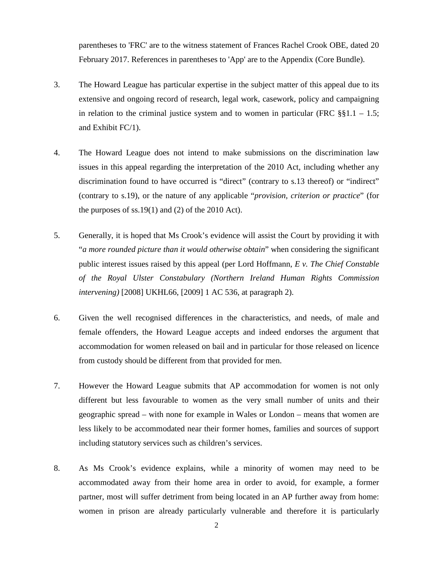parentheses to 'FRC' are to the witness statement of Frances Rachel Crook OBE, dated 20 February 2017. References in parentheses to 'App' are to the Appendix (Core Bundle).

- 3. The Howard League has particular expertise in the subject matter of this appeal due to its extensive and ongoing record of research, legal work, casework, policy and campaigning in relation to the criminal justice system and to women in particular (FRC  $\S$ §1.1 – 1.5; and Exhibit FC/1).
- 4. The Howard League does not intend to make submissions on the discrimination law issues in this appeal regarding the interpretation of the 2010 Act, including whether any discrimination found to have occurred is "direct" (contrary to s.13 thereof) or "indirect" (contrary to s.19), or the nature of any applicable "*provision, criterion or practice*" (for the purposes of  $ss.19(1)$  and (2) of the 2010 Act).
- 5. Generally, it is hoped that Ms Crook's evidence will assist the Court by providing it with "*a more rounded picture than it would otherwise obtain*" when considering the significant public interest issues raised by this appeal (per Lord Hoffmann, *E v. The Chief Constable of the Royal Ulster Constabulary (Northern Ireland Human Rights Commission intervening)* [2008] UKHL66, [2009] 1 AC 536, at paragraph 2).
- 6. Given the well recognised differences in the characteristics, and needs, of male and female offenders, the Howard League accepts and indeed endorses the argument that accommodation for women released on bail and in particular for those released on licence from custody should be different from that provided for men.
- 7. However the Howard League submits that AP accommodation for women is not only different but less favourable to women as the very small number of units and their geographic spread – with none for example in Wales or London – means that women are less likely to be accommodated near their former homes, families and sources of support including statutory services such as children's services.
- 8. As Ms Crook's evidence explains, while a minority of women may need to be accommodated away from their home area in order to avoid, for example, a former partner, most will suffer detriment from being located in an AP further away from home: women in prison are already particularly vulnerable and therefore it is particularly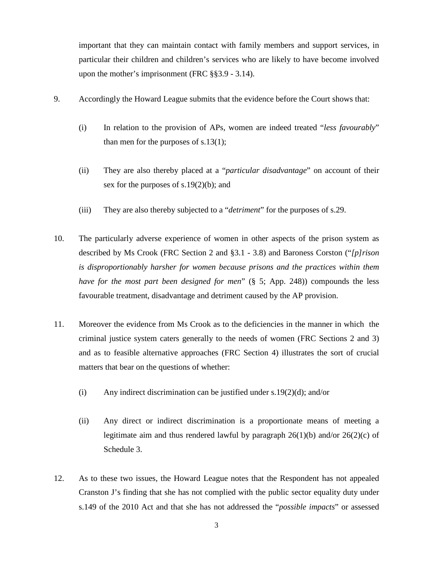important that they can maintain contact with family members and support services, in particular their children and children's services who are likely to have become involved upon the mother's imprisonment (FRC §§3.9 - 3.14).

- 9. Accordingly the Howard League submits that the evidence before the Court shows that:
	- (i) In relation to the provision of APs, women are indeed treated "*less favourably*" than men for the purposes of s.13(1);
	- (ii) They are also thereby placed at a "*particular disadvantage*" on account of their sex for the purposes of s.19(2)(b); and
	- (iii) They are also thereby subjected to a "*detriment*" for the purposes of s.29.
- 10. The particularly adverse experience of women in other aspects of the prison system as described by Ms Crook (FRC Section 2 and §3.1 - 3.8) and Baroness Corston ("*[p]rison is disproportionably harsher for women because prisons and the practices within them have for the most part been designed for men*" (§ 5; App. 248)) compounds the less favourable treatment, disadvantage and detriment caused by the AP provision.
- 11. Moreover the evidence from Ms Crook as to the deficiencies in the manner in which the criminal justice system caters generally to the needs of women (FRC Sections 2 and 3) and as to feasible alternative approaches (FRC Section 4) illustrates the sort of crucial matters that bear on the questions of whether:
	- (i) Any indirect discrimination can be justified under s.19 $(2)(d)$ ; and/or
	- (ii) Any direct or indirect discrimination is a proportionate means of meeting a legitimate aim and thus rendered lawful by paragraph  $26(1)(b)$  and/or  $26(2)(c)$  of Schedule 3.
- 12. As to these two issues, the Howard League notes that the Respondent has not appealed Cranston J's finding that she has not complied with the public sector equality duty under s.149 of the 2010 Act and that she has not addressed the "*possible impacts*" or assessed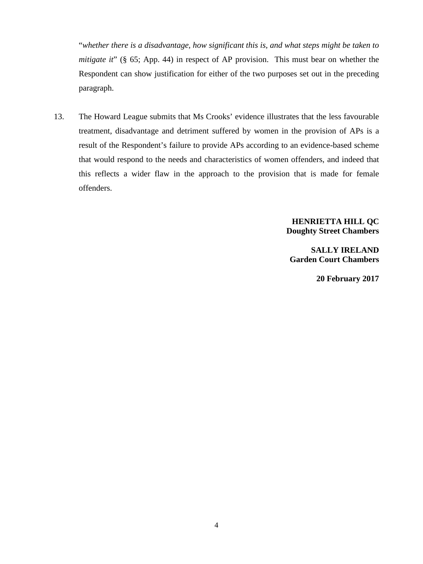"*whether there is a disadvantage, how significant this is, and what steps might be taken to mitigate it*" (§ 65; App. 44) in respect of AP provision. This must bear on whether the Respondent can show justification for either of the two purposes set out in the preceding paragraph.

13. The Howard League submits that Ms Crooks' evidence illustrates that the less favourable treatment, disadvantage and detriment suffered by women in the provision of APs is a result of the Respondent's failure to provide APs according to an evidence-based scheme that would respond to the needs and characteristics of women offenders, and indeed that this reflects a wider flaw in the approach to the provision that is made for female offenders.

> **HENRIETTA HILL QC Doughty Street Chambers**

**SALLY IRELAND Garden Court Chambers**

**20 February 2017**